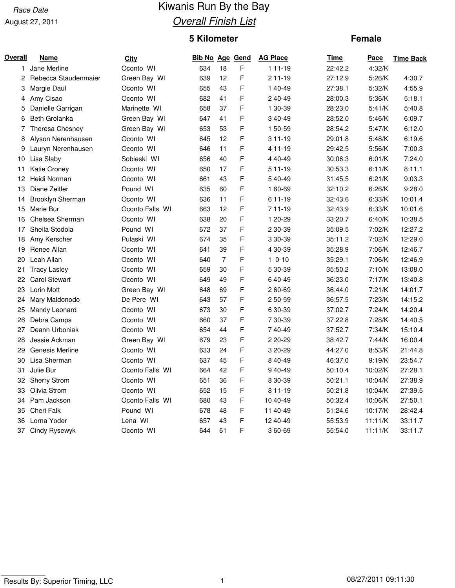## August 27, 2011

# Race Date **Race Date** Kiwanis Run By the Bay **Overall Finish List**

# **5 Kilometer**

### **Female**

| Overall | Name                 | <b>City</b>     | Bib No Age Gend |                |   | <b>AG Place</b> | Time    | Pace    | <b>Time Back</b> |
|---------|----------------------|-----------------|-----------------|----------------|---|-----------------|---------|---------|------------------|
| 1.      | Jane Merline         | Oconto WI       | 634             | 18             | F | 1 11-19         | 22:42.2 | 4:32/K  |                  |
| 2       | Rebecca Staudenmaier | Green Bay WI    | 639             | 12             | F | 2 11-19         | 27:12.9 | 5:26/K  | 4:30.7           |
| 3       | Margie Daul          | Oconto WI       | 655             | 43             | F | 1 40-49         | 27:38.1 | 5:32/K  | 4:55.9           |
| 4       | Amy Cisao            | Oconto WI       | 682             | 41             | F | 2 40-49         | 28:00.3 | 5:36/K  | 5:18.1           |
| 5       | Danielle Garrigan    | Marinette WI    | 658             | 37             | F | 1 30-39         | 28:23.0 | 5:41/K  | 5:40.8           |
| 6       | <b>Beth Grolanka</b> | Green Bay WI    | 647             | 41             | F | 340-49          | 28:52.0 | 5:46/K  | 6:09.7           |
| 7       | Theresa Chesney      | Green Bay WI    | 653             | 53             | F | 1 50-59         | 28:54.2 | 5:47/K  | 6:12.0           |
| 8       | Alyson Nerenhausen   | Oconto WI       | 645             | 12             | F | 3 11-19         | 29:01.8 | 5:48/K  | 6:19.6           |
| 9       | Lauryn Nerenhausen   | Oconto WI       | 646             | 11             | F | 4 11-19         | 29:42.5 | 5:56/K  | 7:00.3           |
| 10      | Lisa Slaby           | Sobieski WI     | 656             | 40             | F | 4 40-49         | 30:06.3 | 6:01/K  | 7:24.0           |
| 11      | Katie Croney         | Oconto WI       | 650             | 17             | F | 5 11-19         | 30:53.3 | 6:11/K  | 8:11.1           |
| 12      | Heidi Norman         | Oconto WI       | 661             | 43             | F | 540-49          | 31:45.5 | 6:21/K  | 9:03.3           |
| 13      | Diane Zeitler        | Pound WI        | 635             | 60             | F | 1 60-69         | 32:10.2 | 6:26/K  | 9:28.0           |
| 14      | Brooklyn Sherman     | Oconto WI       | 636             | 11             | F | 6 11-19         | 32:43.6 | 6:33/K  | 10:01.4          |
| 15      | Marie Bur            | Oconto Falls WI | 663             | 12             | F | 711-19          | 32:43.9 | 6:33/K  | 10:01.6          |
| 16      | Chelsea Sherman      | Oconto WI       | 638             | 20             | F | 1 20-29         | 33:20.7 | 6:40/K  | 10:38.5          |
| 17      | Sheila Stodola       | Pound WI        | 672             | 37             | F | 2 30-39         | 35:09.5 | 7:02/K  | 12:27.2          |
| 18      | Amy Kerscher         | Pulaski WI      | 674             | 35             | F | 3 30-39         | 35:11.2 | 7:02/K  | 12:29.0          |
| 19      | Renee Allan          | Oconto WI       | 641             | 39             | F | 4 30-39         | 35:28.9 | 7:06/K  | 12:46.7          |
| 20      | Leah Allan           | Oconto WI       | 640             | $\overline{7}$ | F | $10-10$         | 35:29.1 | 7:06/K  | 12:46.9          |
| 21      | <b>Tracy Lasley</b>  | Oconto WI       | 659             | 30             | F | 5 30-39         | 35:50.2 | 7:10/K  | 13:08.0          |
| 22      | <b>Carol Stewart</b> | Oconto WI       | 649             | 49             | F | 640-49          | 36:23.0 | 7:17/K  | 13:40.8          |
| 23      | Lorin Mott           | Green Bay WI    | 648             | 69             | F | 260-69          | 36:44.0 | 7:21/K  | 14:01.7          |
| 24      | Mary Maldonodo       | De Pere WI      | 643             | 57             | F | 250-59          | 36:57.5 | 7:23/K  | 14:15.2          |
| 25      | Mandy Leonard        | Oconto WI       | 673             | 30             | F | 6 30-39         | 37:02.7 | 7:24/K  | 14:20.4          |
| 26      | Debra Camps          | Oconto WI       | 660             | 37             | F | 7 30-39         | 37:22.8 | 7:28/K  | 14:40.5          |
| 27      | Deann Urboniak       | Oconto WI       | 654             | 44             | F | 740-49          | 37:52.7 | 7:34/K  | 15:10.4          |
| 28      | Jessie Ackman        | Green Bay WI    | 679             | 23             | F | 2 20-29         | 38:42.7 | 7:44/K  | 16:00.4          |
| 29      | Genesis Merline      | Oconto WI       | 633             | 24             | F | 3 20-29         | 44:27.0 | 8:53/K  | 21:44.8          |
| 30      | Lisa Sherman         | Oconto WI       | 637             | 45             | F | 8 40-49         | 46:37.0 | 9:19/K  | 23:54.7          |
| 31      | Julie Bur            | Oconto Falls WI | 664             | 42             | F | 940-49          | 50:10.4 | 10:02/K | 27:28.1          |
| 32      | <b>Sherry Strom</b>  | Oconto WI       | 651             | 36             | F | 8 30-39         | 50:21.1 | 10:04/K | 27:38.9          |
| 33      | Olivia Strom         | Oconto WI       | 652             | 15             | F | 811-19          | 50:21.8 | 10:04/K | 27:39.5          |
| 34      | Pam Jackson          | Oconto Falls WI | 680             | 43             | F | 10 40-49        | 50:32.4 | 10:06/K | 27:50.1          |
| 35      | Cheri Falk           | Pound WI        | 678             | 48             | F | 11 40-49        | 51:24.6 | 10:17/K | 28:42.4          |
| 36      | Lorna Yoder          | Lena WI         | 657             | 43             | F | 12 40-49        | 55:53.9 | 11:11/K | 33:11.7          |
| 37      | Cindy Rysewyk        | Oconto WI       | 644             | 61             | F | 360-69          | 55:54.0 | 11:11/K | 33:11.7          |